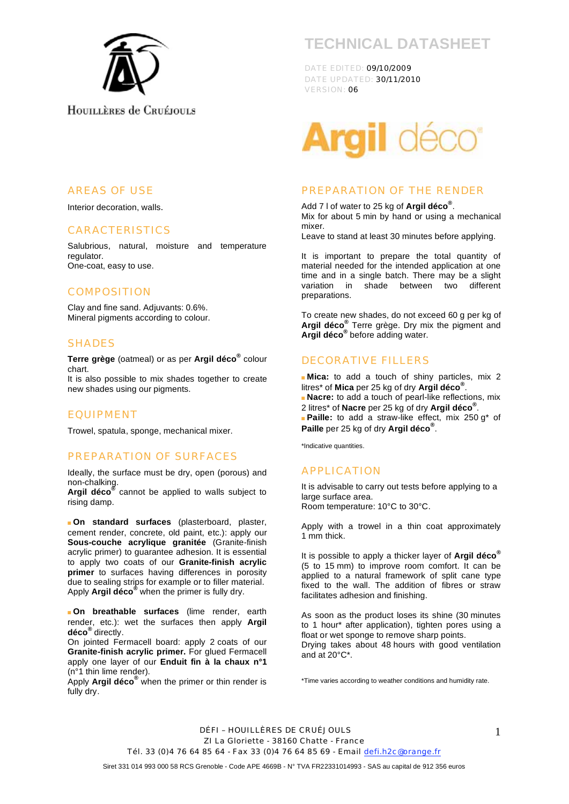

# **TECHNICAL DATASHEET**

DATE EDITED: 09/10/2009 DATE UPDATED: 30/11/2010 VERSION: 06



#### PREPARATION OF THE RENDER

Add 7 l of water to 25 kg of **Argil déco®** . Mix for about 5 min by hand or using a mechanical mixer.

Leave to stand at least 30 minutes before applying.

It is important to prepare the total quantity of material needed for the intended application at one time and in a single batch. There may be a slight variation in shade between two different preparations.

To create new shades, do not exceed 60 g per kg of **Argil déco®** Terre grège. Dry mix the pigment and **Argil déco®** before adding water.

#### DECORATIVE FILLERS

 **Mica:** to add a touch of shiny particles, mix 2 litres\* of **Mica** per 25 kg of dry **Argil déco®**.

**Nacre:** to add a touch of pearl-like reflections, mix 2 litres\* of **Nacre** per 25 kg of dry **Argil déco®** .

**Paille:** to add a straw-like effect, mix 250 g<sup>\*</sup> of **Paille** per 25 kg of dry **Argil déco®**.

\*Indicative quantities.

#### APPLICATION

It is advisable to carry out tests before applying to a large surface area. Room temperature: 10°C to 30°C.

Apply with a trowel in a thin coat approximately 1 mm thick.

It is possible to apply a thicker layer of **Argil déco®** (5 to 15 mm) to improve room comfort. It can be applied to a natural framework of split cane type fixed to the wall. The addition of fibres or straw facilitates adhesion and finishing.

As soon as the product loses its shine (30 minutes to 1 hour\* after application), tighten pores using a float or wet sponge to remove sharp points. Drying takes about 48 hours with good ventilation and at 20°C\*.

\*Time varies according to weather conditions and humidity rate.

DÉFI – HOUILLÈRES DE CRUÉJOULS ZI La Gloriette - 38160 Chatte - France Tél. 33 (0) 4 76 64 85 64 - Fax 33 (0) 4 76 64 85 69 - Email defi.h2c@orange.fr

AREAS OF USE

Interior decoration, walls.

#### CARACTERISTICS

Salubrious, natural, moisture and temperature regulator. One-coat, easy to use.

#### **COMPOSITION**

Clay and fine sand. Adjuvants: 0.6%. Mineral pigments according to colour.

#### SHADES

**Terre grège** (oatmeal) or as per **Argil déco®** colour chart.

It is also possible to mix shades together to create new shades using our pigments.

#### EQUIPMENT

Trowel, spatula, sponge, mechanical mixer.

#### PREPARATION OF SURFACES

Ideally, the surface must be dry, open (porous) and non-chalking.

**Argil déco®** cannot be applied to walls subject to rising damp.

 **On standard surfaces** (plasterboard, plaster, cement render, concrete, old paint, etc.): apply our **Sous-couche acrylique granitée** (Granite-finish acrylic primer) to guarantee adhesion. It is essential to apply two coats of our **Granite-finish acrylic primer** to surfaces having differences in porosity due to sealing strips for example or to filler material. Apply **Argil déco®** when the primer is fully dry.

 **On breathable surfaces** (lime render, earth render, etc.): wet the surfaces then apply **Argil déco®** directly.

On jointed Fermacell board: apply 2 coats of our **Granite-finish acrylic primer.** For glued Fermacell apply one layer of our **Enduit fin à la chaux n°1** (n°1 thin lime render).

Apply **Argil déco®** when the primer or thin render is fully dry.